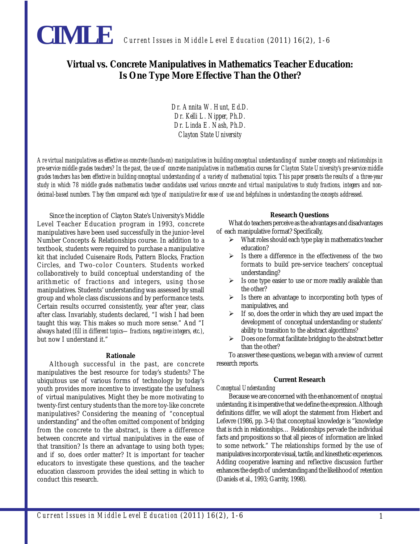

# **Virtual vs. Concrete Manipulatives in Mathematics Teacher Education: Is One Type More Effective Than the Other?**

*Dr. Annita W. Hunt, Ed.D. Dr. Kelli L. Nipper, Ph.D. Dr. Linda E. Nash, Ph.D. Clayton State University*

*Are virtual manipulatives as effective as concrete (hands-on) manipulatives in building conceptual understanding of number concepts and relationships in pre-service middle grades teachers? In the past, the use of concrete manipulatives in mathematics courses for Clayton State University's pre-service middle grades teachers has been effective in building conceptual understanding of a variety of mathematical topics. This paper presents the results of a three-year study in which 78 middle grades mathematics teacher candidates used various concrete and virtual manipulatives to study fractions, integers and nondecimal-based numbers. They then compared each type of manipulative for ease of use and helpfulness in understanding the concepts addressed.*

Since the inception of Clayton State's University's Middle Level Teacher Education program in 1993, concrete manipulatives have been used successfully in the junior-level Number Concepts & Relationships course. In addition to a textbook, students were required to purchase a manipulative kit that included Cuisenaire Rods, Pattern Blocks, Fraction Circles, and Two-color Counters. Students worked collaboratively to build conceptual understanding of the arithmetic of fractions and integers, using those manipulatives. Students' understanding was assessed by small group and whole class discussions and by performance tests. Certain results occurred consistently, year after year, class after class. Invariably, students declared, "I wish I had been taught this way. This makes so much more sense." And "I always hated *(fill in different topics—fractions, negative integers, etc.)*, but now I understand it."

#### **Rationale**

Although successful in the past, are concrete manipulatives the best resource for today's students? The ubiquitous use of various forms of technology by today's youth provides more incentive to investigate the usefulness of virtual manipulatives. Might they be more motivating to twenty-first century students than the more toy-like concrete manipulatives? Considering the meaning of "conceptual understanding" and the often omitted component of bridging from the concrete to the abstract, is there a difference between concrete and virtual manipulatives in the ease of that transition? Is there an advantage to using both types; and if so, does order matter? It is important for teacher educators to investigate these questions, and the teacher education classroom provides the ideal setting in which to conduct this research.

#### **Research Questions**

What do teachers perceive as the advantages and disadvantages of each manipulative format? Specifically,

- $\triangleright$  What roles should each type play in mathematics teacher education?
- $\triangleright$  Is there a difference in the effectiveness of the two formats to build pre-service teachers' conceptual understanding?
- $\triangleright$  Is one type easier to use or more readily available than the other?
- $\triangleright$  Is there an advantage to incorporating both types of manipulatives, and
- $\triangleright$  If so, does the order in which they are used impact the development of conceptual understanding or students' ability to transition to the abstract algorithms?
- $\triangleright$  Does one format facilitate bridging to the abstract better than the other?

To answer these questions, we began with a review of current research reports.

## **Current Research**

#### *Conceptual Understanding*

Because we are concerned with the enhancement of *conceptual understanding*, it is imperative that we define the expression. Although definitions differ, we will adopt the statement from Hiebert and Lefevre (1986, pp. 3-4) that conceptual knowledge is "knowledge that is rich in relationships… Relationships pervade the individual facts and propositions so that all pieces of information are linked to some network." The relationships formed by the use of manipulatives incorporate visual, tactile, and kinesthetic experiences. Adding cooperative learning and reflective discussion further enhances the depth of understanding and the likelihood of retention (Daniels et al., 1993; Garrity, 1998).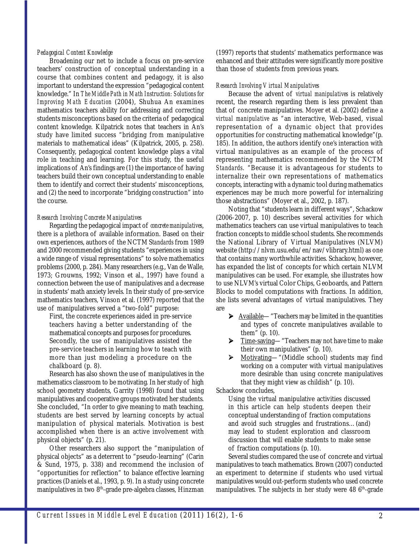## *Pedagogical Content Knowledge*

Broadening our net to include a focus on pre-service teachers' construction of conceptual understanding in a course that combines content and pedagogy, it is also important to understand the expression "pedagogical content knowledge." In *The Middle Path in Math Instruction: Solutions for Improving Math Education* (2004), Shuhua An examines mathematics teachers ability for addressing and correcting students misconceptions based on the criteria of pedagogical content knowledge. Kilpatrick notes that teachers in An's study have limited success "bridging from manipulative materials to mathematical ideas" (Kilpatrick, 2005, p. 258). Consequently, pedagogical content knowledge plays a vital role in teaching and learning. For this study, the useful implications of An's findings are (1) the importance of having teachers build their own conceptual understanding to enable them to identify and correct their students' misconceptions, and (2) the need to incorporate "bridging construction" into the course.

## *Research Involving Concrete Manipulatives*

Regarding the pedagogical impact of *concrete manipulatives*, there is a plethora of available information. Based on their own experiences, authors of the NCTM S*tandards* from 1989 and 2000 recommended giving students "experiences in using a wide range of visual representations" to solve mathematics problems (2000, p. 284). Many researchers (e.g., Van de Walle, 1973; Grouwns, 1992; Vinson et al., 1997) have found a connection between the use of manipulatives and a decrease in students' math anxiety levels. In their study of pre-service mathematics teachers, Vinson et al. (1997) reported that the use of manipulatives served a "two-fold" purpose:

First, the concrete experiences aided in pre-service teachers having a better understanding of the mathematical concepts and purposes for procedures. Secondly, the use of manipulatives assisted the pre-service teachers in learning how to teach with more than just modeling a procedure on the chalkboard (p. 8).

Research has also shown the use of manipulatives in the mathematics classroom to be motivating. In her study of high school geometry students, Garrity (1998) found that using manipulatives and cooperative groups motivated her students. She concluded, "In order to give meaning to math teaching, students are best served by learning concepts by actual manipulation of physical materials. Motivation is best accomplished when there is an active involvement with physical objects" (p. 21).

Other researchers also support the "manipulation of physical objects" as a deterrent to "pseudo-learning" (Carin & Sund, 1975, p. 338) and recommend the inclusion of "opportunities for reflection" to balance effective learning practices (Daniels et al., 1993, p. 9). In a study using concrete manipulatives in two 8<sup>th</sup>-grade pre-algebra classes, Hinzman

(1997) reports that students' mathematics performance was enhanced and their attitudes were significantly more positive than those of students from previous years.

## *Research Involving Virtual Manipulatives*

Because the advent of *virtual manipulatives* is relatively recent, the research regarding them is less prevalent than that of concrete manipulatives. Moyer et al. (2002) define a *virtual manipulative* as "an interactive, Web-based, visual representation of a dynamic object that provides opportunities for constructing mathematical knowledge"(p. 185). In addition, the authors identify one's interaction with virtual manipulatives as an example of the process of representing mathematics recommended by the NCTM *Standards*. "Because it is advantageous for students to internalize their own representations of mathematics concepts, interacting with a dynamic tool during mathematics experiences may be much more powerful for internalizing those abstractions" (Moyer et al., 2002, p. 187).

Noting that "students learn in different ways", Schackow (2006-2007, p. 10) describes several activities for which mathematics teachers can use virtual manipulatives to teach fraction concepts to middle school students. She recommends the National Library of Virtual Manipulatives (NLVM) website (http://nlvm.usu.edu/en/nav/vlibrary.html) as one that contains many worthwhile activities. Schackow, however, has expanded the list of concepts for which certain NLVM manipulatives can be used. For example, she illustrates how to use NLVM's virtual Color Chips, Geoboards, and Pattern Blocks to model computations with fractions. In addition, she lists several advantages of virtual manipulatives. They are

- ▶ Available—"Teachers may be limited in the quantities and types of concrete manipulatives available to them" (p. 10).
- ▶ Time-saving—"Teachers may not have time to make their own manipulatives" (p. 10).
- ¾ Motivating—"(Middle school) students may find working on a computer with virtual manipulatives more desirable than using concrete manipulatives that they might view as childish" (p. 10).

Schackow concludes,

Using the virtual manipulative activities discussed in this article can help students deepen their conceptual understanding of fraction computations and avoid such struggles and frustrations…(and) may lead to student exploration and classroom discussion that will enable students to make sense of fraction computations (p. 10).

Several studies compared the use of concrete and virtual manipulatives to teach mathematics. Brown (2007) conducted an experiment to determine if students who used virtual manipulatives would out-perform students who used concrete manipulatives. The subjects in her study were  $486$ <sup>th</sup>-grade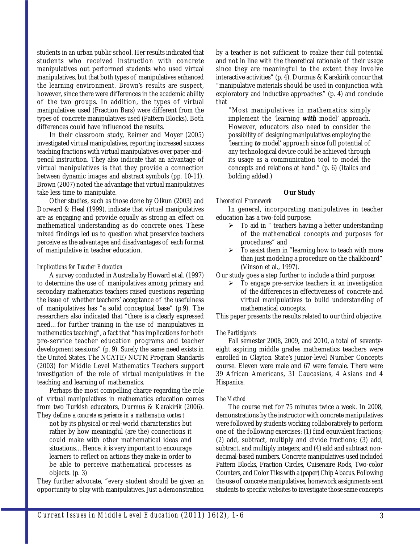students in an urban public school. Her results indicated that students who received instruction with concrete manipulatives out performed students who used virtual manipulatives, but that both types of manipulatives enhanced the learning environment. Brown's results are suspect, however, since there were differences in the academic ability of the two groups. In addition, the types of virtual manipulatives used (Fraction Bars) were different from the types of concrete manipulatives used (Pattern Blocks). Both differences could have influenced the results.

In their classroom study, Reimer and Moyer (2005) investigated virtual manipulatives, reporting increased success teaching fractions with virtual manipulatives over paper-andpencil instruction. They also indicate that an advantage of virtual manipulatives is that they provide a connection between dynamic images and abstract symbols (pp. 10-11). Brown (2007) noted the advantage that virtual manipulatives take less time to manipulate.

Other studies, such as those done by Olkun (2003) and Dorward & Heal (1999), indicate that virtual manipulatives are as engaging and provide equally as strong an effect on mathematical understanding as do concrete ones. These mixed findings led us to question what preservice teachers perceive as the advantages and disadvantages of each format of manipulative in teacher education.

## *Implications for Teacher Education*

A survey conducted in Australia by Howard et al. (1997) to determine the use of manipulatives among primary and secondary mathematics teachers raised questions regarding the issue of whether teachers' acceptance of the usefulness of manipulatives has "a solid conceptual base" (p.9). The researchers also indicated that "there is a clearly expressed need…for further training in the use of manipulatives in mathematics teaching", a fact that "has implications for both pre-service teacher education programs and teacher development sessions" (p. 9). Surely the same need exists in the United States. The NCATE/NCTM Program Standards (2003) for Middle Level Mathematics Teachers support investigation of the role of virtual manipulatives in the teaching and learning of mathematics.

Perhaps the most compelling charge regarding the role of virtual manipulatives in mathematics education comes from two Turkish educators, Durmus & Karakirik (2006). They define a *concrete experience in a mathematics context*

not by its physical or real-world characteristics but rather by how meaningful (are the) connections it could make with other mathematical ideas and situations…Hence, it is very important to encourage learners to reflect on actions they make in order to be able to perceive mathematical processes as objects. (p. 3)

They further advocate, "every student should be given an opportunity to play with manipulatives. Just a demonstration by a teacher is not sufficient to realize their full potential and not in line with the theoretical rationale of their usage since they are meaningful to the extent they involve interactive activities" (p. 4). Durmus & Karakirik concur that "manipulative materials should be used in conjunction with exploratory and inductive approaches" (p. 4) and conclude that

"Most manipulatives in mathematics simply implement the 'learning **with** model' approach. However, educators also need to consider the possibility of designing manipulatives employing the 'learning **to** model' approach since full potential of any technological device could be achieved through its usage as a communication tool to model the concepts and relations at hand." (p. 6) (Italics and bolding added.)

## **Our Study**

## *Theoretical Framework*

In general, incorporating manipulatives in teacher education has a two-fold purpose:

- $\triangleright$  To aid in " teachers having a better understanding of the mathematical concepts and purposes for procedures" and
- $\triangleright$  To assist them in "learning how to teach with more than just modeling a procedure on the chalkboard" (Vinson et al., 1997).

Our study goes a step further to include a third purpose:

¾ To engage pre-service teachers in an investigation of the differences in effectiveness of concrete and virtual manipulatives to build understanding of mathematical concepts.

This paper presents the results related to our third objective.

#### *The Participants*

Fall semester 2008, 2009, and 2010, a total of seventyeight aspiring middle grades mathematics teachers were enrolled in Clayton State's junior-level Number Concepts course. Eleven were male and 67 were female. There were 39 African Americans, 31 Caucasians, 4 Asians and 4 Hispanics.

## *The Method*

The course met for 75 minutes twice a week. In 2008, demonstrations by the instructor with concrete manipulatives were followed by students working collaboratively to perform one of the following exercises: (1) find equivalent fractions; (2) add, subtract, multiply and divide fractions; (3) add, subtract, and multiply integers; and (4) add and subtract nondecimal-based numbers. Concrete manipulatives used included Pattern Blocks, Fraction Circles, Cuisenaire Rods, Two-color Counters, and Color Tiles with a (paper) Chip Abacus. Following the use of concrete manipulatives, homework assignments sent students to specific websites to investigate those same concepts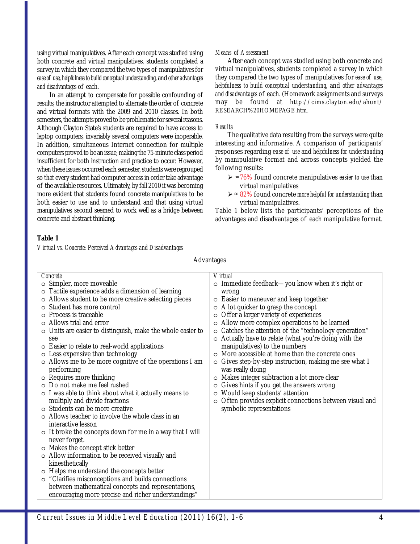using virtual manipulatives. After each concept was studied using both concrete and virtual manipulatives, students completed a survey in which they compared the two types of manipulatives for *ease of use*, *helpfulness to build conceptual understanding*, and *other advantages and disadvantages* of each.

In an attempt to compensate for possible confounding of results, the instructor attempted to alternate the order of concrete and virtual formats with the 2009 and 2010 classes. In both semesters, the attempts proved to be problematic for several reasons. Although Clayton State's students are required to have access to laptop computers, invariably several computers were inoperable. In addition, simultaneous Internet connection for multiple computers proved to be an issue, making the 75-minute class period insufficient for both instruction and practice to occur. However, when these issues occurred each semester, students were regrouped so that every student had computer access in order take advantage of the available resources. Ultimately, by fall 2010 it was becoming more evident that students found concrete manipulatives to be both easier to use and to understand and that using virtual manipulatives second seemed to work well as a bridge between concrete and abstract thinking.

## *Means of Assessment*

After each concept was studied using both concrete and virtual manipulatives, students completed a survey in which they compared the two types of manipulatives for *ease of use*, *helpfulness to build conceptual understanding*, and *other advantages and disadvantages* of each. (Homework assignments and surveys may be found at http://cims.clayton.edu/ahunt/ RESEARCH%20HOMEPAGE.htm.

#### *Results*

The qualitative data resulting from the surveys were quite interesting and informative. A comparison of participants' responses regarding e*ase of use* and *helpfulness for understanding* by manipulative format and across concepts yielded the following results:

- $\geq$   $\approx$  76% found concrete manipulatives *easier to use* than virtual manipulatives
- > ≈ 82% found concrete *more helpful for understanding* than virtual manipulatives.

Table 1 below lists the participants' perceptions of the advantages and disadvantages of each manipulative format.

# **Table 1**

*Virtual vs. Concrete: Perceived Advantages and Disadvantages*

| Concrete                                                          | Virtual                                                         |
|-------------------------------------------------------------------|-----------------------------------------------------------------|
| o Simpler, more moveable                                          | ○ Immediate feedback—you know when it's right or                |
| o Tactile experience adds a dimension of learning                 | wrong                                                           |
| o Allows student to be more creative selecting pieces             | $\circ$ Easier to maneuver and keep together                    |
| Student has more control                                          | $\circ$ A lot quicker to grasp the concept                      |
| <b>Process is traceable</b>                                       | Offer a larger variety of experiences                           |
| Allows trial and error                                            | Allow more complex operations to be learned<br>O                |
| $\circ$ Units are easier to distinguish, make the whole easier to | o Catches the attention of the "technology generation"          |
| see                                                               | o Actually have to relate (what you're doing with the           |
| $\circ$ Easier to relate to real-world applications               | manipulatives) to the numbers                                   |
| o Less expensive than technology                                  | More accessible at home than the concrete ones<br>$\Omega$      |
| o Allows me to be more cognitive of the operations I am           | Gives step-by-step instruction, making me see what I<br>$\circ$ |
| performing                                                        | was really doing                                                |
| o Requires more thinking                                          | Makes integer subtraction a lot more clear<br>$\circ$           |
| $\circ$ Do not make me feel rushed                                | Gives hints if you get the answers wrong<br>O                   |
| $\circ$ I was able to think about what it actually means to       | Would keep students' attention<br>O                             |
| multiply and divide fractions                                     | Often provides explicit connections between visual and<br>O     |
| o Students can be more creative                                   | symbolic representations                                        |
| $\circ$ Allows teacher to involve the whole class in an           |                                                                 |
| interactive lesson                                                |                                                                 |
| $\circ$ It broke the concepts down for me in a way that I will    |                                                                 |
| never forget.                                                     |                                                                 |
| o Makes the concept stick better                                  |                                                                 |
| o Allow information to be received visually and                   |                                                                 |
| kinesthetically                                                   |                                                                 |
| o Helps me understand the concepts better                         |                                                                 |
| o "Clarifies misconceptions and builds connections                |                                                                 |
| between mathematical concepts and representations,                |                                                                 |
| encouraging more precise and richer understandings"               |                                                                 |

Advantages

*Current Issues in Middle Level Education* (2011) 16(2), 1-6 4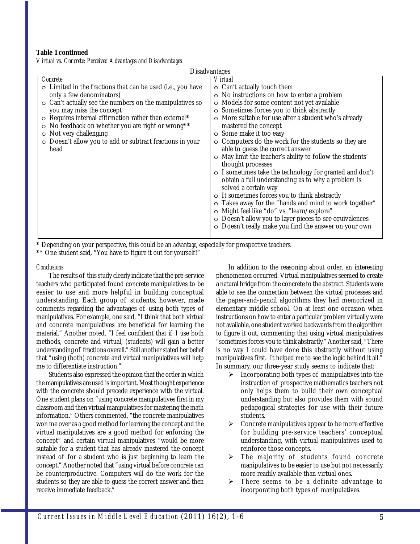## **Table 1 continued**

*Virtual vs. Concrete: Perceived Advantages and Disadvantages*

| <b>Disadvantages</b>                                           |                                                            |
|----------------------------------------------------------------|------------------------------------------------------------|
| Concrete                                                       | <i>Virtual</i>                                             |
| o Limited in the fractions that can be used (i.e., you have    | $\circ$ Can't actually touch them                          |
| only a few denominators)                                       | o No instructions on how to enter a problem                |
| $\circ$ Can't actually see the numbers on the manipulatives so | o Models for some content not yet available                |
| you may miss the concept                                       | o Sometimes forces you to think abstractly                 |
| o Requires internal affirmation rather than external*          | o More suitable for use after a student who's already      |
| • No feedback on whether you are right or wrong**              | mastered the concept                                       |
| $\circ$ Not very challenging                                   | o Some make it too easy                                    |
| O Doesn't allow you to add or subtract fractions in your       | $\circ$ Computers do the work for the students so they are |
| head                                                           | able to guess the correct answer                           |
|                                                                | o May limit the teacher's ability to follow the students'  |
|                                                                | thought processes                                          |
|                                                                | o I sometimes take the technology for granted and don't    |
|                                                                | obtain a full understanding as to why a problem is         |
|                                                                | solved a certain way                                       |
|                                                                | o It sometimes forces you to think abstractly              |
|                                                                | o Takes away for the "hands and mind to work together"     |
|                                                                | o Might feel like "do" vs. "learn/explore"                 |
|                                                                | O Doesn't allow you to layer pieces to see equivalences    |
|                                                                | O Doesn't really make you find the answer on your own      |
|                                                                |                                                            |

**\*** Depending on your perspective, this could be an *advantage*, especially for prospective teachers.

**\*\*** One student said, "You have to figure it out for yourself!"

#### *Conclusions*

The results of this study clearly indicate that the pre-service teachers who participated found concrete manipulatives to be easier to use and more helpful in building conceptual understanding. Each group of students, however, made comments regarding the advantages of using both types of manipulatives. For example, one said, "I think that both virtual and concrete manipulatives are beneficial for learning the material." Another noted, "I feel confident that if I use both methods, concrete and virtual, (students) will gain a better understanding of fractions overall." Still another stated her belief that "using (both) concrete and virtual manipulatives will help me to differentiate instruction."

Students also expressed the opinion that the order in which the manipulatives are used is important. Most thought experience with the concrete should precede experience with the virtual. One student plans on "using concrete manipulatives first in my classroom and then virtual manipulatives for mastering the math information." Others commented, "the concrete manipulatives won me over as a good method for learning the concept and the virtual manipulatives are a good method for enforcing the concept" and certain virtual manipulatives "would be more suitable for a student that has already mastered the concept instead of for a student who is just beginning to learn the concept." Another noted that "using virtual before concrete can be counterproductive. Computers will do the work for the students so they are able to guess the correct answer and then receive immediate feedback."

In addition to the reasoning about order, an interesting phenomenon occurred. Virtual manipulatives seemed to create a natural bridge from the concrete to the abstract. Students were able to see the connection between the virtual processes and the paper-and-pencil algorithms they had memorized in elementary middle school. On at least one occasion when instructions on how to enter a particular problem virtually were not available, one student worked backwards from the algorithm to figure it out, commenting that using virtual manipulatives "sometimes forces you to think abstractly." Another said, "There is no way I could have done this abstractly without using manipulatives first. It helped me to see the logic behind it all." In summary, our three-year study seems to indicate that:

- $\triangleright$  Incorporating both types of manipulatives into the instruction of prospective mathematics teachers not only helps them to build their own conceptual understanding but also provides them with sound pedagogical strategies for use with their future students.
- $\triangleright$  Concrete manipulatives appear to be more effective for building pre-service teachers' conceptual understanding, with virtual manipulatives used to reinforce those concepts.
- ¾ The majority of students found concrete manipulatives to be easier to use but not necessarily more readily available than virtual ones.
- $\triangleright$  There seems to be a definite advantage to incorporating both types of manipulatives.